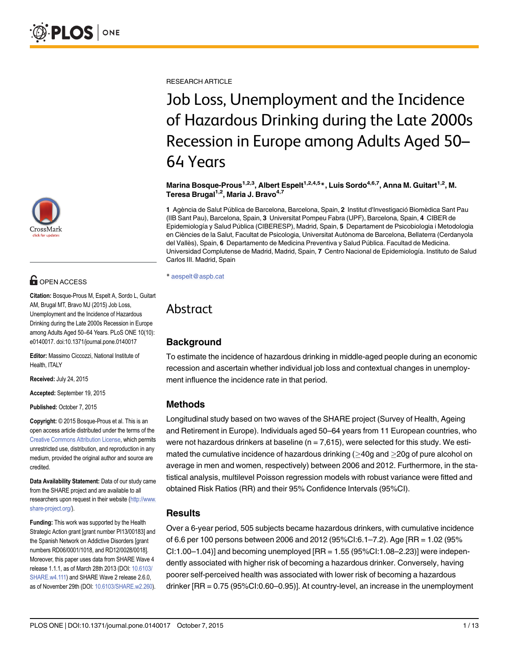

# **G** OPEN ACCESS

Citation: Bosque-Prous M, Espelt A, Sordo L, Guitart AM, Brugal MT, Bravo MJ (2015) Job Loss, Unemployment and the Incidence of Hazardous Drinking during the Late 2000s Recession in Europe among Adults Aged 50–64 Years. PLoS ONE 10(10): e0140017. doi:10.1371/journal.pone.0140017

Editor: Massimo Ciccozzi, National Institute of Health, ITALY

Received: July 24, 2015

Accepted: September 19, 2015

Published: October 7, 2015

Copyright: © 2015 Bosque-Prous et al. This is an open access article distributed under the terms of the [Creative Commons Attribution License,](http://creativecommons.org/licenses/by/4.0/) which permits unrestricted use, distribution, and reproduction in any medium, provided the original author and source are credited.

Data Availability Statement: Data of our study came from the SHARE project and are available to all researchers upon request in their website ([http://www.](http://www.share-project.org/) [share-project.org/](http://www.share-project.org/)).

Funding: This work was supported by the Health Strategic Action grant [grant number PI13/00183] and the Spanish Network on Addictive Disorders [grant numbers RD06/0001/1018, and RD12/0028/0018]. Moreover, this paper uses data from SHARE Wave 4 release 1.1.1, as of March 28th 2013 (DOI: [10.6103/](http://dx.doi.org/10.6103/SHARE.w4.111) [SHARE.w4.111\)](http://dx.doi.org/10.6103/SHARE.w4.111) and SHARE Wave 2 release 2.6.0, as of November 29th (DOI: [10.6103/SHARE.w2.260](http://dx.doi.org/10.6103/SHARE.w2.260)).

RESEARCH ARTICLE

# Job Loss, Unemployment and the Incidence of Hazardous Drinking during the Late 2000s Recession in Europe among Adults Aged 50– 64 Years

Marina Bosque-Prous<sup>1,2,3</sup>, Albert Espelt<sup>1,2,4,5</sup>\*, Luis Sordo<sup>4,6,7</sup>, Anna M. Guitart<sup>1,2</sup>, M. Teresa Brugal<sup>1,2</sup>, Maria J. Bravo<sup>4,7</sup>

1 Agència de Salut Pública de Barcelona, Barcelona, Spain, 2 Institut d'Investigació Biomèdica Sant Pau (IIB Sant Pau), Barcelona, Spain, 3 Universitat Pompeu Fabra (UPF), Barcelona, Spain, 4 CIBER de Epidemiología y Salud Pública (CIBERESP), Madrid, Spain, 5 Departament de Psicobiologia i Metodologia en Ciències de la Salut, Facultat de Psicologia, Universitat Autònoma de Barcelona, Bellaterra (Cerdanyola del Vallès), Spain, 6 Departamento de Medicina Preventiva y Salud Pública. Facultad de Medicina. Universidad Complutense de Madrid, Madrid, Spain, 7 Centro Nacional de Epidemiología. Instituto de Salud Carlos III. Madrid, Spain

\* aespelt@aspb.cat

# Abstract

## **Background**

To estimate the incidence of hazardous drinking in middle-aged people during an economic recession and ascertain whether individual job loss and contextual changes in unemployment influence the incidence rate in that period.

## Methods

Longitudinal study based on two waves of the SHARE project (Survey of Health, Ageing and Retirement in Europe). Individuals aged 50–64 years from 11 European countries, who were not hazardous drinkers at baseline ( $n = 7.615$ ), were selected for this study. We estimated the cumulative incidence of hazardous drinking  $($  >40g and  $>$ 20g of pure alcohol on average in men and women, respectively) between 2006 and 2012. Furthermore, in the statistical analysis, multilevel Poisson regression models with robust variance were fitted and obtained Risk Ratios (RR) and their 95% Confidence Intervals (95%CI).

#### **Results**

Over a 6-year period, 505 subjects became hazardous drinkers, with cumulative incidence of 6.6 per 100 persons between 2006 and 2012 (95%CI:6.1–7.2). Age [RR = 1.02 (95% CI:1.00–1.04)] and becoming unemployed  $[RR = 1.55 (95% CI:1.08–2.23)]$  were independently associated with higher risk of becoming a hazardous drinker. Conversely, having poorer self-perceived health was associated with lower risk of becoming a hazardous drinker [RR = 0.75 (95%CI:0.60–0.95)]. At country-level, an increase in the unemployment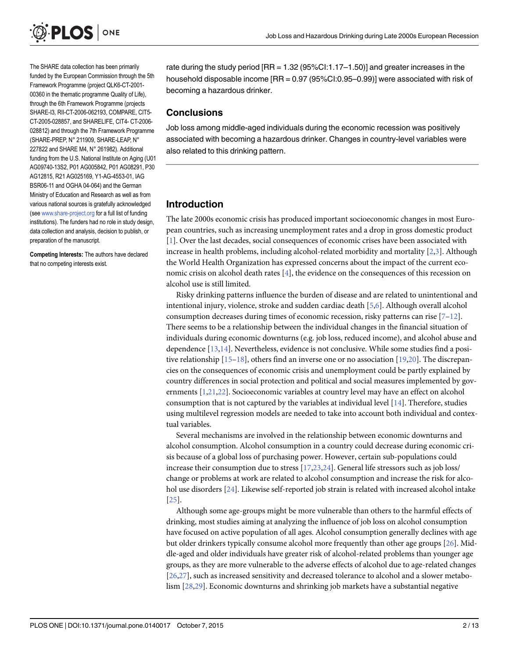<span id="page-1-0"></span>

The SHARE data collection has been primarily funded by the European Commission through the 5th Framework Programme (project QLK6-CT-2001- 00360 in the thematic programme Quality of Life), through the 6th Framework Programme (projects SHARE-I3, RII-CT-2006-062193, COMPARE, CIT5- CT-2005-028857, and SHARELIFE, CIT4- CT-2006- 028812) and through the 7th Framework Programme (SHARE-PREP, N° 211909, SHARE-LEAP, N° 227822 and SHARE M4, N° 261982). Additional funding from the U.S. National Institute on Aging (U01 AG09740-13S2, P01 AG005842, P01 AG08291, P30 AG12815, R21 AG025169, Y1-AG-4553-01, IAG BSR06-11 and OGHA 04-064) and the German Ministry of Education and Research as well as from various national sources is gratefully acknowledged (see [www.share-project.org](http://www.share-project.org) for a full list of funding institutions). The funders had no role in study design, data collection and analysis, decision to publish, or preparation of the manuscript.

Competing Interests: The authors have declared that no competing interests exist.

rate during the study period [RR = 1.32 (95%CI:1.17–1.50)] and greater increases in the household disposable income [RR = 0.97 (95%CI:0.95–0.99)] were associated with risk of becoming a hazardous drinker.

#### **Conclusions**

Job loss among middle-aged individuals during the economic recession was positively associated with becoming a hazardous drinker. Changes in country-level variables were also related to this drinking pattern.

#### Introduction

The late 2000s economic crisis has produced important socioeconomic changes in most European countries, such as increasing unemployment rates and a drop in gross domestic product [\[1](#page-10-0)]. Over the last decades, social consequences of economic crises have been associated with increase in health problems, including alcohol-related morbidity and mortality  $[2,3]$  $[2,3]$ . Although the World Health Organization has expressed concerns about the impact of the current economic crisis on alcohol death rates  $[4]$  $[4]$  $[4]$ , the evidence on the consequences of this recession on alcohol use is still limited.

Risky drinking patterns influence the burden of disease and are related to unintentional and intentional injury, violence, stroke and sudden cardiac death [[5](#page-10-0),[6](#page-10-0)]. Although overall alcohol consumption decreases during times of economic recession, risky patterns can rise [\[7](#page-10-0)–[12\]](#page-10-0). There seems to be a relationship between the individual changes in the financial situation of individuals during economic downturns (e.g. job loss, reduced income), and alcohol abuse and dependence [[13,14](#page-11-0)]. Nevertheless, evidence is not conclusive. While some studies find a positive relationship  $[15-18]$  $[15-18]$  $[15-18]$  $[15-18]$  $[15-18]$ , others find an inverse one or no association  $[19,20]$  $[19,20]$ . The discrepancies on the consequences of economic crisis and unemployment could be partly explained by country differences in social protection and political and social measures implemented by governments [\[1](#page-10-0)[,21,22\]](#page-11-0). Socioeconomic variables at country level may have an effect on alcohol consumption that is not captured by the variables at individual level  $[14]$  $[14]$  $[14]$ . Therefore, studies using multilevel regression models are needed to take into account both individual and contextual variables.

Several mechanisms are involved in the relationship between economic downturns and alcohol consumption. Alcohol consumption in a country could decrease during economic crisis because of a global loss of purchasing power. However, certain sub-populations could increase their consumption due to stress  $[17, 23, 24]$ . General life stressors such as job loss/ change or problems at work are related to alcohol consumption and increase the risk for alcohol use disorders [[24](#page-11-0)]. Likewise self-reported job strain is related with increased alcohol intake [\[25](#page-11-0)].

Although some age-groups might be more vulnerable than others to the harmful effects of drinking, most studies aiming at analyzing the influence of job loss on alcohol consumption have focused on active population of all ages. Alcohol consumption generally declines with age but older drinkers typically consume alcohol more frequently than other age groups [[26](#page-11-0)]. Middle-aged and older individuals have greater risk of alcohol-related problems than younger age groups, as they are more vulnerable to the adverse effects of alcohol due to age-related changes [\[26,27\]](#page-11-0), such as increased sensitivity and decreased tolerance to alcohol and a slower metabolism [[28,29\]](#page-11-0). Economic downturns and shrinking job markets have a substantial negative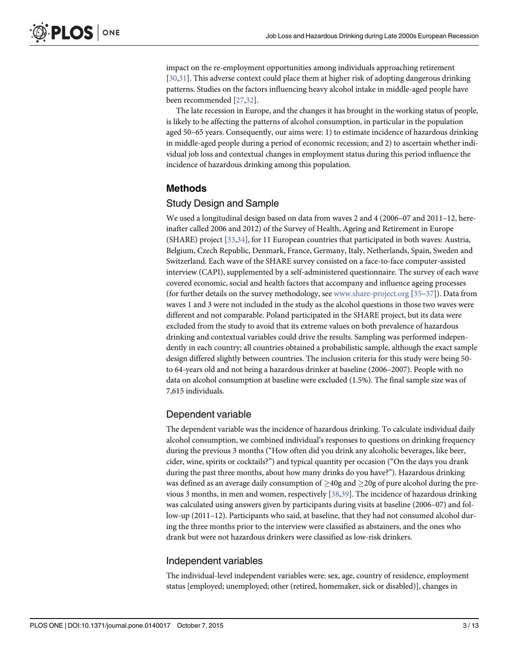<span id="page-2-0"></span>impact on the re-employment opportunities among individuals approaching retirement [\[30,31\]](#page-11-0). This adverse context could place them at higher risk of adopting dangerous drinking patterns. Studies on the factors influencing heavy alcohol intake in middle-aged people have been recommended [\[27,32](#page-11-0)].

The late recession in Europe, and the changes it has brought in the working status of people, is likely to be affecting the patterns of alcohol consumption, in particular in the population aged 50–65 years. Consequently, our aims were: 1) to estimate incidence of hazardous drinking in middle-aged people during a period of economic recession; and 2) to ascertain whether individual job loss and contextual changes in employment status during this period influence the incidence of hazardous drinking among this population.

## Methods

#### Study Design and Sample

We used a longitudinal design based on data from waves 2 and 4 (2006–07 and 2011–12, hereinafter called 2006 and 2012) of the Survey of Health, Ageing and Retirement in Europe (SHARE) project [\[33](#page-11-0)[,34\]](#page-12-0), for 11 European countries that participated in both waves: Austria, Belgium, Czech Republic, Denmark, France, Germany, Italy, Netherlands, Spain, Sweden and Switzerland. Each wave of the SHARE survey consisted on a face-to-face computer-assisted interview (CAPI), supplemented by a self-administered questionnaire. The survey of each wave covered economic, social and health factors that accompany and influence ageing processes (for further details on the survey methodology, see [www.share-project.org](http://www.share-project.org) [[35](#page-12-0)–[37\]](#page-12-0)). Data from waves 1 and 3 were not included in the study as the alcohol questions in those two waves were different and not comparable. Poland participated in the SHARE project, but its data were excluded from the study to avoid that its extreme values on both prevalence of hazardous drinking and contextual variables could drive the results. Sampling was performed independently in each country; all countries obtained a probabilistic sample, although the exact sample design differed slightly between countries. The inclusion criteria for this study were being 50 to 64-years old and not being a hazardous drinker at baseline (2006–2007). People with no data on alcohol consumption at baseline were excluded (1.5%). The final sample size was of 7,615 individuals.

#### Dependent variable

The dependent variable was the incidence of hazardous drinking. To calculate individual daily alcohol consumption, we combined individual's responses to questions on drinking frequency during the previous 3 months ("How often did you drink any alcoholic beverages, like beer, cider, wine, spirits or cocktails?") and typical quantity per occasion ("On the days you drank during the past three months, about how many drinks do you have?"). Hazardous drinking was defined as an average daily consumption of  $\geq$ 40g and  $\geq$ 20g of pure alcohol during the previous 3 months, in men and women, respectively [[38,39\]](#page-12-0). The incidence of hazardous drinking was calculated using answers given by participants during visits at baseline (2006–07) and follow-up (2011–12). Participants who said, at baseline, that they had not consumed alcohol during the three months prior to the interview were classified as abstainers, and the ones who drank but were not hazardous drinkers were classified as low-risk drinkers.

#### Independent variables

The individual-level independent variables were: sex, age, country of residence, employment status [employed; unemployed; other (retired, homemaker, sick or disabled)], changes in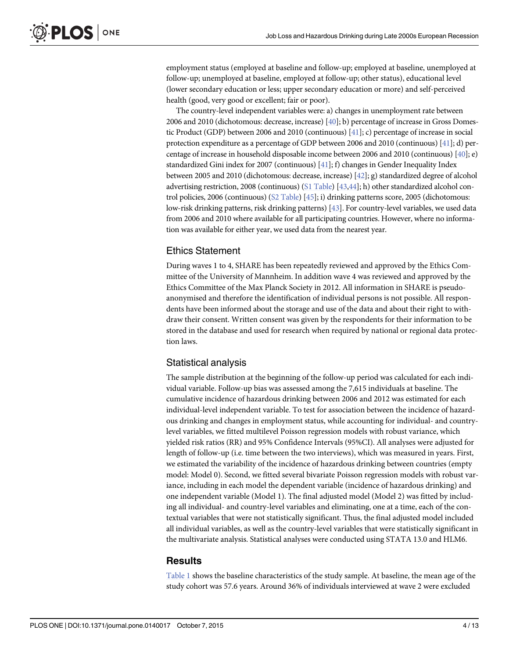<span id="page-3-0"></span>employment status (employed at baseline and follow-up; employed at baseline, unemployed at follow-up; unemployed at baseline, employed at follow-up; other status), educational level (lower secondary education or less; upper secondary education or more) and self-perceived health (good, very good or excellent; fair or poor).

The country-level independent variables were: a) changes in unemployment rate between 2006 and 2010 (dichotomous: decrease, increase)  $[40]$  $[40]$ ; b) percentage of increase in Gross Domes-tic Product (GDP) between 2006 and 2010 (continuous) [[41](#page-12-0)]; c) percentage of increase in social protection expenditure as a percentage of GDP between 2006 and 2010 (continuous) [\[41\]](#page-12-0); d) percentage of increase in household disposable income between 2006 and 2010 (continuous) [\[40\]](#page-12-0); e) standardized Gini index for 2007 (continuous)  $[41]$  $[41]$  $[41]$ ; f) changes in Gender Inequality Index between 2005 and 2010 (dichotomous: decrease, increase) [\[42\]](#page-12-0); g) standardized degree of alcohol advertising restriction, 2008 (continuous) [\(S1 Table](#page-10-0)) [\[43,44](#page-12-0)]; h) other standardized alcohol control policies, 2006 (continuous) [\(S2 Table\)](#page-10-0) [\[45\]](#page-12-0); i) drinking patterns score, 2005 (dichotomous: low-risk drinking patterns, risk drinking patterns) [[43](#page-12-0)]. For country-level variables, we used data from 2006 and 2010 where available for all participating countries. However, where no information was available for either year, we used data from the nearest year.

#### Ethics Statement

During waves 1 to 4, SHARE has been repeatedly reviewed and approved by the Ethics Committee of the University of Mannheim. In addition wave 4 was reviewed and approved by the Ethics Committee of the Max Planck Society in 2012. All information in SHARE is pseudoanonymised and therefore the identification of individual persons is not possible. All respondents have been informed about the storage and use of the data and about their right to withdraw their consent. Written consent was given by the respondents for their information to be stored in the database and used for research when required by national or regional data protection laws.

#### Statistical analysis

The sample distribution at the beginning of the follow-up period was calculated for each individual variable. Follow-up bias was assessed among the 7,615 individuals at baseline. The cumulative incidence of hazardous drinking between 2006 and 2012 was estimated for each individual-level independent variable. To test for association between the incidence of hazardous drinking and changes in employment status, while accounting for individual- and countrylevel variables, we fitted multilevel Poisson regression models with robust variance, which yielded risk ratios (RR) and 95% Confidence Intervals (95%CI). All analyses were adjusted for length of follow-up (i.e. time between the two interviews), which was measured in years. First, we estimated the variability of the incidence of hazardous drinking between countries (empty model: Model 0). Second, we fitted several bivariate Poisson regression models with robust variance, including in each model the dependent variable (incidence of hazardous drinking) and one independent variable (Model 1). The final adjusted model (Model 2) was fitted by including all individual- and country-level variables and eliminating, one at a time, each of the contextual variables that were not statistically significant. Thus, the final adjusted model included all individual variables, as well as the country-level variables that were statistically significant in the multivariate analysis. Statistical analyses were conducted using STATA 13.0 and HLM6.

#### **Results**

[Table 1](#page-4-0) shows the baseline characteristics of the study sample. At baseline, the mean age of the study cohort was 57.6 years. Around 36% of individuals interviewed at wave 2 were excluded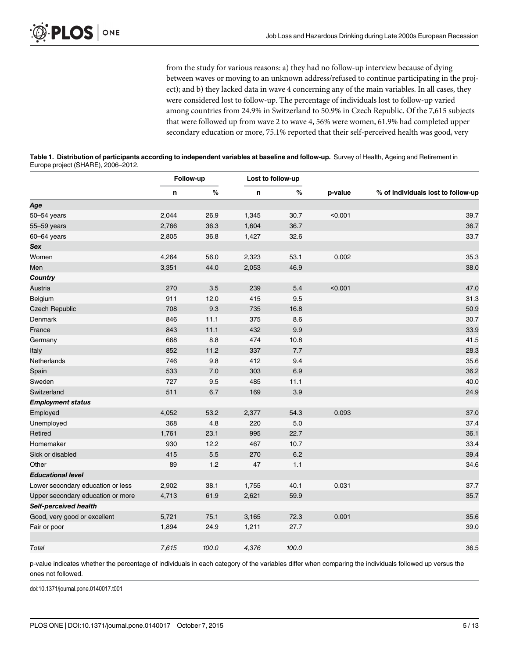from the study for various reasons: a) they had no follow-up interview because of dying between waves or moving to an unknown address/refused to continue participating in the project); and b) they lacked data in wave 4 concerning any of the main variables. In all cases, they were considered lost to follow-up. The percentage of individuals lost to follow-up varied among countries from 24.9% in Switzerland to 50.9% in Czech Republic. Of the 7,615 subjects that were followed up from wave 2 to wave 4, 56% were women, 61.9% had completed upper secondary education or more, 75.1% reported that their self-perceived health was good, very

<span id="page-4-0"></span>

| Table 1. Distribution of participants according to independent variables at baseline and follow-up. Survey of Health, Ageing and Retirement in |  |
|------------------------------------------------------------------------------------------------------------------------------------------------|--|
| Europe project (SHARE), 2006–2012.                                                                                                             |  |

|                                   | Follow-up |       | Lost to follow-up |       |         |                                    |
|-----------------------------------|-----------|-------|-------------------|-------|---------|------------------------------------|
|                                   | n         | %     | n                 | %     | p-value | % of individuals lost to follow-up |
| Age                               |           |       |                   |       |         |                                    |
| 50-54 years                       | 2,044     | 26.9  | 1,345             | 30.7  | < 0.001 | 39.7                               |
| 55-59 years                       | 2,766     | 36.3  | 1,604             | 36.7  |         | 36.7                               |
| 60-64 years                       | 2,805     | 36.8  | 1,427             | 32.6  |         | 33.7                               |
| Sex                               |           |       |                   |       |         |                                    |
| Women                             | 4,264     | 56.0  | 2,323             | 53.1  | 0.002   | 35.3                               |
| Men                               | 3,351     | 44.0  | 2,053             | 46.9  |         | 38.0                               |
| Country                           |           |       |                   |       |         |                                    |
| Austria                           | 270       | 3.5   | 239               | 5.4   | < 0.001 | 47.0                               |
| Belgium                           | 911       | 12.0  | 415               | 9.5   |         | 31.3                               |
| <b>Czech Republic</b>             | 708       | 9.3   | 735               | 16.8  |         | 50.9                               |
| Denmark                           | 846       | 11.1  | 375               | 8.6   |         | 30.7                               |
| France                            | 843       | 11.1  | 432               | 9.9   |         | 33.9                               |
| Germany                           | 668       | 8.8   | 474               | 10.8  |         | 41.5                               |
| Italy                             | 852       | 11.2  | 337               | 7.7   |         | 28.3                               |
| Netherlands                       | 746       | 9.8   | 412               | 9.4   |         | 35.6                               |
| Spain                             | 533       | 7.0   | 303               | 6.9   |         | 36.2                               |
| Sweden                            | 727       | 9.5   | 485               | 11.1  |         | 40.0                               |
| Switzerland                       | 511       | 6.7   | 169               | 3.9   |         | 24.9                               |
| <b>Employment status</b>          |           |       |                   |       |         |                                    |
| Employed                          | 4,052     | 53.2  | 2,377             | 54.3  | 0.093   | 37.0                               |
| Unemployed                        | 368       | 4.8   | 220               | 5.0   |         | 37.4                               |
| Retired                           | 1,761     | 23.1  | 995               | 22.7  |         | 36.1                               |
| Homemaker                         | 930       | 12.2  | 467               | 10.7  |         | 33.4                               |
| Sick or disabled                  | 415       | 5.5   | 270               | 6.2   |         | 39.4                               |
| Other                             | 89        | 1.2   | 47                | 1.1   |         | 34.6                               |
| <b>Educational level</b>          |           |       |                   |       |         |                                    |
| Lower secondary education or less | 2,902     | 38.1  | 1,755             | 40.1  | 0.031   | 37.7                               |
| Upper secondary education or more | 4,713     | 61.9  | 2,621             | 59.9  |         | 35.7                               |
| Self-perceived health             |           |       |                   |       |         |                                    |
| Good, very good or excellent      | 5,721     | 75.1  | 3,165             | 72.3  | 0.001   | 35.6                               |
| Fair or poor                      | 1,894     | 24.9  | 1,211             | 27.7  |         | 39.0                               |
| Total                             | 7,615     | 100.0 | 4,376             | 100.0 |         | 36.5                               |

p-value indicates whether the percentage of individuals in each category of the variables differ when comparing the individuals followed up versus the ones not followed.

doi:10.1371/journal.pone.0140017.t001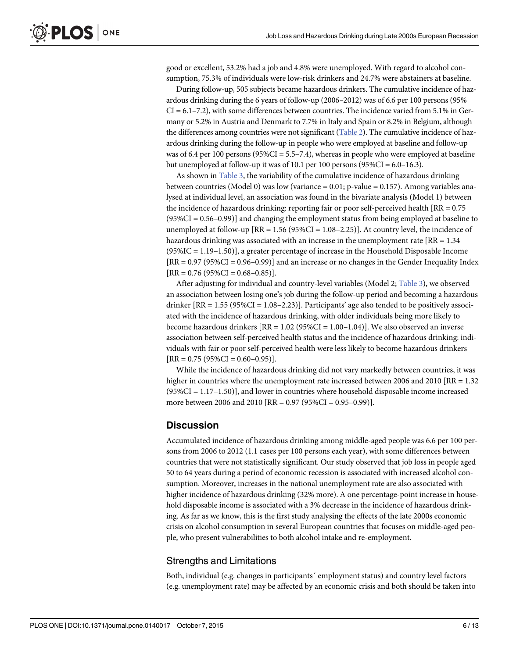<span id="page-5-0"></span>good or excellent, 53.2% had a job and 4.8% were unemployed. With regard to alcohol consumption, 75.3% of individuals were low-risk drinkers and 24.7% were abstainers at baseline.

During follow-up, 505 subjects became hazardous drinkers. The cumulative incidence of hazardous drinking during the 6 years of follow-up (2006–2012) was of 6.6 per 100 persons (95%  $CI = 6.1 - 7.2$ ), with some differences between countries. The incidence varied from 5.1% in Germany or 5.2% in Austria and Denmark to 7.7% in Italy and Spain or 8.2% in Belgium, although the differences among countries were not significant ([Table 2](#page-6-0)). The cumulative incidence of hazardous drinking during the follow-up in people who were employed at baseline and follow-up was of 6.4 per 100 persons ( $95\%CI = 5.5 - 7.4$ ), whereas in people who were employed at baseline but unemployed at follow-up it was of 10.1 per 100 persons (95%CI = 6.0–16.3).

As shown in [Table 3,](#page-7-0) the variability of the cumulative incidence of hazardous drinking between countries (Model 0) was low (variance  $= 0.01$ ; p-value  $= 0.157$ ). Among variables analysed at individual level, an association was found in the bivariate analysis (Model 1) between the incidence of hazardous drinking: reporting fair or poor self-perceived health [RR = 0.75 (95%CI = 0.56–0.99)] and changing the employment status from being employed at baseline to unemployed at follow-up  $[RR = 1.56 (95\% CI = 1.08 - 2.25)]$ . At country level, the incidence of hazardous drinking was associated with an increase in the unemployment rate  $[RR = 1.34]$ (95%IC = 1.19–1.50)], a greater percentage of increase in the Household Disposable Income  $[RR = 0.97 (95\%CI = 0.96 - 0.99)]$  and an increase or no changes in the Gender Inequality Index  $[RR = 0.76 (95\%CI = 0.68 - 0.85)].$ 

After adjusting for individual and country-level variables (Model 2; [Table 3\)](#page-7-0), we observed an association between losing one's job during the follow-up period and becoming a hazardous drinker  $[RR = 1.55 (95\% CI = 1.08 - 2.23)]$ . Participants' age also tended to be positively associated with the incidence of hazardous drinking, with older individuals being more likely to become hazardous drinkers  $[RR = 1.02 (95%CI = 1.00-1.04)]$ . We also observed an inverse association between self-perceived health status and the incidence of hazardous drinking: individuals with fair or poor self-perceived health were less likely to become hazardous drinkers  $[RR = 0.75 (95\%CI = 0.60 - 0.95)].$ 

While the incidence of hazardous drinking did not vary markedly between countries, it was higher in countries where the unemployment rate increased between 2006 and 2010 [RR  $= 1.32$ ]  $(95\%CI = 1.17-1.50)$ , and lower in countries where household disposable income increased more between 2006 and 2010 [RR = 0.97 (95%CI = 0.95–0.99)].

#### **Discussion**

Accumulated incidence of hazardous drinking among middle-aged people was 6.6 per 100 persons from 2006 to 2012 (1.1 cases per 100 persons each year), with some differences between countries that were not statistically significant. Our study observed that job loss in people aged 50 to 64 years during a period of economic recession is associated with increased alcohol consumption. Moreover, increases in the national unemployment rate are also associated with higher incidence of hazardous drinking (32% more). A one percentage-point increase in household disposable income is associated with a 3% decrease in the incidence of hazardous drinking. As far as we know, this is the first study analysing the effects of the late 2000s economic crisis on alcohol consumption in several European countries that focuses on middle-aged people, who present vulnerabilities to both alcohol intake and re-employment.

#### Strengths and Limitations

Both, individual (e.g. changes in participants´ employment status) and country level factors (e.g. unemployment rate) may be affected by an economic crisis and both should be taken into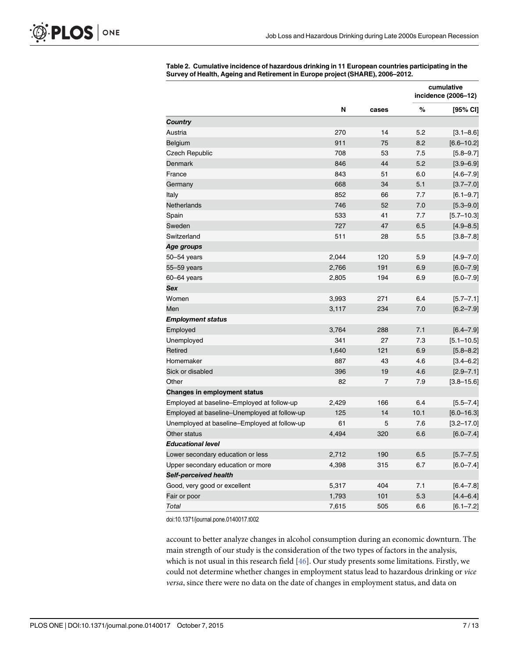|                                              | N     |                |      | cumulative<br>incidence (2006-12) |  |
|----------------------------------------------|-------|----------------|------|-----------------------------------|--|
|                                              |       | cases          | %    | [95% CI]                          |  |
| <b>Country</b>                               |       |                |      |                                   |  |
| Austria                                      | 270   | 14             | 5.2  | $[3.1 - 8.6]$                     |  |
| Belgium                                      | 911   | 75             | 8.2  | $[6.6 - 10.2]$                    |  |
| <b>Czech Republic</b>                        | 708   | 53             | 7.5  | $[5.8 - 9.7]$                     |  |
| <b>Denmark</b>                               | 846   | 44             | 5.2  | $[3.9 - 6.9]$                     |  |
| France                                       | 843   | 51             | 6.0  | $[4.6 - 7.9]$                     |  |
| Germany                                      | 668   | 34             | 5.1  | $[3.7 - 7.0]$                     |  |
| Italy                                        | 852   | 66             | 7.7  | $[6.1 - 9.7]$                     |  |
| Netherlands                                  | 746   | 52             | 7.0  | $[5.3 - 9.0]$                     |  |
| Spain                                        | 533   | 41             | 7.7  | $[5.7 - 10.3]$                    |  |
| Sweden                                       | 727   | 47             | 6.5  | $[4.9 - 8.5]$                     |  |
| Switzerland                                  | 511   | 28             | 5.5  | $[3.8 - 7.8]$                     |  |
| Age groups                                   |       |                |      |                                   |  |
| 50-54 years                                  | 2,044 | 120            | 5.9  | $[4.9 - 7.0]$                     |  |
| 55-59 years                                  | 2,766 | 191            | 6.9  | $[6.0 - 7.9]$                     |  |
| $60 - 64$ years                              | 2,805 | 194            | 6.9  | $[6.0 - 7.9]$                     |  |
| Sex                                          |       |                |      |                                   |  |
| Women                                        | 3,993 | 271            | 6.4  | $[5.7 - 7.1]$                     |  |
| Men                                          | 3,117 | 234            | 7.0  | $[6.2 - 7.9]$                     |  |
| <b>Employment status</b>                     |       |                |      |                                   |  |
| Employed                                     | 3,764 | 288            | 7.1  | $[6.4 - 7.9]$                     |  |
| Unemployed                                   | 341   | 27             | 7.3  | $[5.1 - 10.5]$                    |  |
| Retired                                      | 1,640 | 121            | 6.9  | $[5.8 - 8.2]$                     |  |
| Homemaker                                    | 887   | 43             | 4.6  | $[3.4 - 6.2]$                     |  |
| Sick or disabled                             | 396   | 19             | 4.6  | $[2.9 - 7.1]$                     |  |
| Other                                        | 82    | $\overline{7}$ | 7.9  | $[3.8 - 15.6]$                    |  |
| <b>Changes in employment status</b>          |       |                |      |                                   |  |
| Employed at baseline–Employed at follow-up   | 2,429 | 166            | 6.4  | $[5.5 - 7.4]$                     |  |
| Employed at baseline-Unemployed at follow-up | 125   | 14             | 10.1 | $[6.0 - 16.3]$                    |  |
| Unemployed at baseline-Employed at follow-up | 61    | 5              | 7.6  | $[3.2 - 17.0]$                    |  |
| Other status                                 | 4,494 | 320            | 6.6  | $[6.0 - 7.4]$                     |  |
| <b>Educational level</b>                     |       |                |      |                                   |  |
| Lower secondary education or less            | 2,712 | 190            | 6.5  | $[5.7 - 7.5]$                     |  |
| Upper secondary education or more            | 4,398 | 315            | 6.7  | $[6.0 - 7.4]$                     |  |
| Self-perceived health                        |       |                |      |                                   |  |
| Good, very good or excellent                 | 5,317 | 404            | 7.1  | $[6.4 - 7.8]$                     |  |
| Fair or poor                                 | 1,793 | 101            | 5.3  | $[4.4 - 6.4]$                     |  |
| Total                                        | 7,615 | 505            | 6.6  | $[6.1 - 7.2]$                     |  |

<span id="page-6-0"></span>[Table 2.](#page-5-0) Cumulative incidence of hazardous drinking in 11 European countries participating in the Survey of Health, Ageing and Retirement in Europe project (SHARE), 2006–2012.

doi:10.1371/journal.pone.0140017.t002

account to better analyze changes in alcohol consumption during an economic downturn. The main strength of our study is the consideration of the two types of factors in the analysis, which is not usual in this research field [\[46\]](#page-12-0). Our study presents some limitations. Firstly, we could not determine whether changes in employment status lead to hazardous drinking or vice versa, since there were no data on the date of changes in employment status, and data on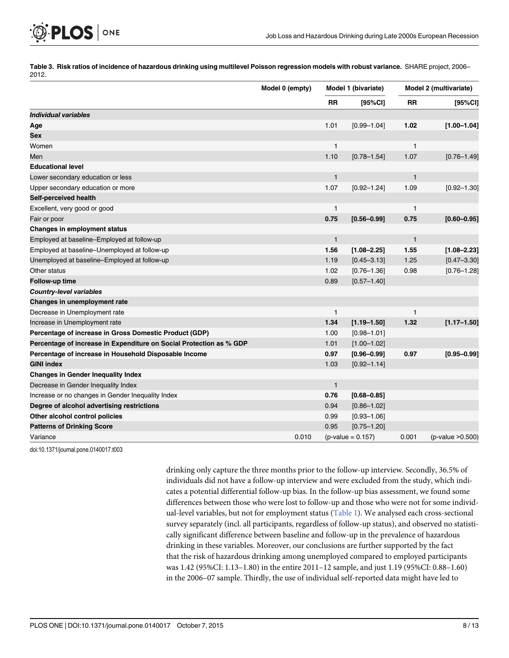[Table 3.](#page-5-0) Risk ratios of incidence of hazardous drinking using multilevel Poisson regression models with robust variance. SHARE project, 2006-2012.

|                                                                     | Model 0 (empty) | Model 1 (bivariate) |                     | Model 2 (multivariate) |                   |
|---------------------------------------------------------------------|-----------------|---------------------|---------------------|------------------------|-------------------|
|                                                                     |                 | <b>RR</b>           | [95%CI]             | <b>RR</b>              | [95%CI]           |
| Individual variables                                                |                 |                     |                     |                        |                   |
| Age                                                                 |                 | 1.01                | $[0.99 - 1.04]$     | 1.02                   | $[1.00 - 1.04]$   |
| Sex                                                                 |                 |                     |                     |                        |                   |
| Women                                                               |                 | 1                   |                     | $\mathbf{1}$           |                   |
| Men                                                                 |                 | 1.10                | $[0.78 - 1.54]$     | 1.07                   | $[0.76 - 1.49]$   |
| <b>Educational level</b>                                            |                 |                     |                     |                        |                   |
| Lower secondary education or less                                   |                 | $\mathbf{1}$        |                     | $\mathbf{1}$           |                   |
| Upper secondary education or more                                   |                 | 1.07                | $[0.92 - 1.24]$     | 1.09                   | $[0.92 - 1.30]$   |
| Self-perceived health                                               |                 |                     |                     |                        |                   |
| Excellent, very good or good                                        |                 | $\mathbf{1}$        |                     | 1                      |                   |
| Fair or poor                                                        |                 | 0.75                | $[0.56 - 0.99]$     | 0.75                   | $[0.60 - 0.95]$   |
| Changes in employment status                                        |                 |                     |                     |                        |                   |
| Employed at baseline-Employed at follow-up                          |                 | $\mathbf{1}$        |                     | $\mathbf{1}$           |                   |
| Employed at baseline-Unemployed at follow-up                        |                 | 1.56                | $[1.08 - 2.25]$     | 1.55                   | $[1.08 - 2.23]$   |
| Unemployed at baseline-Employed at follow-up                        |                 | 1.19                | $[0.45 - 3.13]$     | 1.25                   | $[0.47 - 3.30]$   |
| Other status                                                        |                 | 1.02                | $[0.76 - 1.36]$     | 0.98                   | $[0.76 - 1.28]$   |
| Follow-up time                                                      |                 | 0.89                | $[0.57 - 1.40]$     |                        |                   |
| <b>Country-level variables</b>                                      |                 |                     |                     |                        |                   |
| Changes in unemployment rate                                        |                 |                     |                     |                        |                   |
| Decrease in Unemployment rate                                       |                 | 1                   |                     | 1                      |                   |
| Increase in Unemployment rate                                       |                 | 1.34                | $[1.19 - 1.50]$     | 1.32                   | $[1.17 - 1.50]$   |
| Percentage of increase in Gross Domestic Product (GDP)              |                 | 1.00                | $[0.98 - 1.01]$     |                        |                   |
| Percentage of increase in Expenditure on Social Protection as % GDP |                 | 1.01                | $[1.00 - 1.02]$     |                        |                   |
| Percentage of increase in Household Disposable Income               |                 | 0.97                | $[0.96 - 0.99]$     | 0.97                   | $[0.95 - 0.99]$   |
| <b>GINI index</b>                                                   |                 | 1.03                | $[0.92 - 1.14]$     |                        |                   |
| <b>Changes in Gender Inequality Index</b>                           |                 |                     |                     |                        |                   |
| Decrease in Gender Inequality Index                                 |                 | $\mathbf{1}$        |                     |                        |                   |
| Increase or no changes in Gender Inequality Index                   |                 | 0.76                | $[0.68 - 0.85]$     |                        |                   |
| Degree of alcohol advertising restrictions                          |                 | 0.94                | $[0.86 - 1.02]$     |                        |                   |
| Other alcohol control policies                                      |                 | 0.99                | $[0.93 - 1.06]$     |                        |                   |
| <b>Patterns of Drinking Score</b>                                   |                 | 0.95                | $[0.75 - 1.20]$     |                        |                   |
| Variance                                                            | 0.010           |                     | $(p-value = 0.157)$ | 0.001                  | (p-value > 0.500) |

doi:10.1371/journal.pone.0140017.t003

<span id="page-7-0"></span>PLOS ONE

drinking only capture the three months prior to the follow-up interview. Secondly, 36.5% of individuals did not have a follow-up interview and were excluded from the study, which indicates a potential differential follow-up bias. In the follow-up bias assessment, we found some differences between those who were lost to follow-up and those who were not for some individual-level variables, but not for employment status [\(Table 1](#page-4-0)). We analysed each cross-sectional survey separately (incl. all participants, regardless of follow-up status), and observed no statistically significant difference between baseline and follow-up in the prevalence of hazardous drinking in these variables. Moreover, our conclusions are further supported by the fact that the risk of hazardous drinking among unemployed compared to employed participants was 1.42 (95%CI: 1.13–1.80) in the entire 2011–12 sample, and just 1.19 (95%CI: 0.88–1.60) in the 2006–07 sample. Thirdly, the use of individual self-reported data might have led to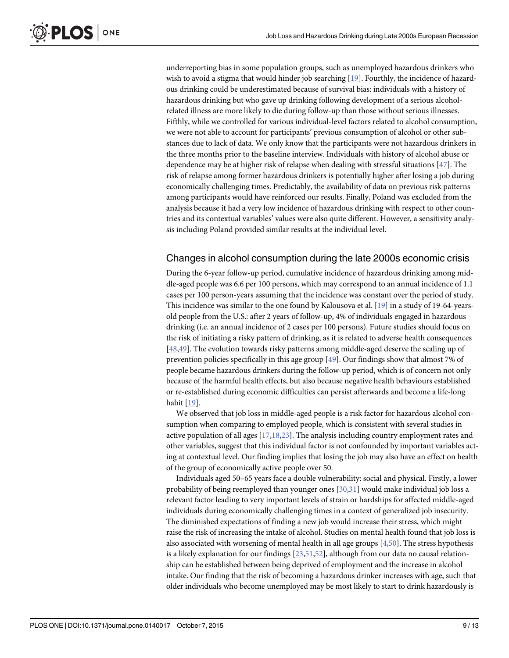<span id="page-8-0"></span>underreporting bias in some population groups, such as unemployed hazardous drinkers who wish to avoid a stigma that would hinder job searching [[19](#page-11-0)]. Fourthly, the incidence of hazardous drinking could be underestimated because of survival bias: individuals with a history of hazardous drinking but who gave up drinking following development of a serious alcoholrelated illness are more likely to die during follow-up than those without serious illnesses. Fifthly, while we controlled for various individual-level factors related to alcohol consumption, we were not able to account for participants' previous consumption of alcohol or other substances due to lack of data. We only know that the participants were not hazardous drinkers in the three months prior to the baseline interview. Individuals with history of alcohol abuse or dependence may be at higher risk of relapse when dealing with stressful situations [\[47](#page-12-0)]. The risk of relapse among former hazardous drinkers is potentially higher after losing a job during economically challenging times. Predictably, the availability of data on previous risk patterns among participants would have reinforced our results. Finally, Poland was excluded from the analysis because it had a very low incidence of hazardous drinking with respect to other countries and its contextual variables' values were also quite different. However, a sensitivity analysis including Poland provided similar results at the individual level.

#### Changes in alcohol consumption during the late 2000s economic crisis

During the 6-year follow-up period, cumulative incidence of hazardous drinking among middle-aged people was 6.6 per 100 persons, which may correspond to an annual incidence of 1.1 cases per 100 person-years assuming that the incidence was constant over the period of study. This incidence was similar to the one found by Kalousova et al. [\[19\]](#page-11-0) in a study of 19-64-yearsold people from the U.S.: after 2 years of follow-up, 4% of individuals engaged in hazardous drinking (i.e. an annual incidence of 2 cases per 100 persons). Future studies should focus on the risk of initiating a risky pattern of drinking, as it is related to adverse health consequences [\[48,49\]](#page-12-0). The evolution towards risky patterns among middle-aged deserve the scaling up of prevention policies specifically in this age group [[49\]](#page-12-0). Our findings show that almost 7% of people became hazardous drinkers during the follow-up period, which is of concern not only because of the harmful health effects, but also because negative health behaviours established or re-established during economic difficulties can persist afterwards and become a life-long habit [[19\]](#page-11-0).

We observed that job loss in middle-aged people is a risk factor for hazardous alcohol consumption when comparing to employed people, which is consistent with several studies in active population of all ages [\[17,18](#page-11-0),[23](#page-11-0)]. The analysis including country employment rates and other variables, suggest that this individual factor is not confounded by important variables acting at contextual level. Our finding implies that losing the job may also have an effect on health of the group of economically active people over 50.

Individuals aged 50–65 years face a double vulnerability: social and physical. Firstly, a lower probability of being reemployed than younger ones [[30,31](#page-11-0)] would make individual job loss a relevant factor leading to very important levels of strain or hardships for affected middle-aged individuals during economically challenging times in a context of generalized job insecurity. The diminished expectations of finding a new job would increase their stress, which might raise the risk of increasing the intake of alcohol. Studies on mental health found that job loss is also associated with worsening of mental health in all age groups [[4](#page-10-0),[50](#page-12-0)]. The stress hypothesis is a likely explanation for our findings [\[23](#page-11-0)[,51,52\]](#page-12-0), although from our data no causal relationship can be established between being deprived of employment and the increase in alcohol intake. Our finding that the risk of becoming a hazardous drinker increases with age, such that older individuals who become unemployed may be most likely to start to drink hazardously is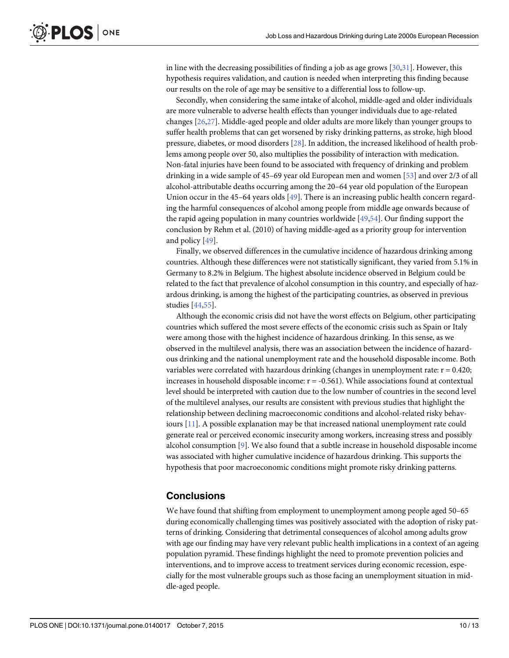<span id="page-9-0"></span>in line with the decreasing possibilities of finding a job as age grows [[30](#page-11-0),[31](#page-11-0)]. However, this hypothesis requires validation, and caution is needed when interpreting this finding because our results on the role of age may be sensitive to a differential loss to follow-up.

Secondly, when considering the same intake of alcohol, middle-aged and older individuals are more vulnerable to adverse health effects than younger individuals due to age-related changes [\[26,27\]](#page-11-0). Middle-aged people and older adults are more likely than younger groups to suffer health problems that can get worsened by risky drinking patterns, as stroke, high blood pressure, diabetes, or mood disorders [\[28\]](#page-11-0). In addition, the increased likelihood of health problems among people over 50, also multiplies the possibility of interaction with medication. Non-fatal injuries have been found to be associated with frequency of drinking and problem drinking in a wide sample of 45–69 year old European men and women [\[53\]](#page-12-0) and over 2/3 of all alcohol-attributable deaths occurring among the 20–64 year old population of the European Union occur in the 45–64 years olds [\[49](#page-12-0)]. There is an increasing public health concern regarding the harmful consequences of alcohol among people from middle age onwards because of the rapid ageing population in many countries worldwide  $[49,54]$ . Our finding support the conclusion by Rehm et al. (2010) of having middle-aged as a priority group for intervention and policy [[49\]](#page-12-0).

Finally, we observed differences in the cumulative incidence of hazardous drinking among countries. Although these differences were not statistically significant, they varied from 5.1% in Germany to 8.2% in Belgium. The highest absolute incidence observed in Belgium could be related to the fact that prevalence of alcohol consumption in this country, and especially of hazardous drinking, is among the highest of the participating countries, as observed in previous studies [\[44,55\]](#page-12-0).

Although the economic crisis did not have the worst effects on Belgium, other participating countries which suffered the most severe effects of the economic crisis such as Spain or Italy were among those with the highest incidence of hazardous drinking. In this sense, as we observed in the multilevel analysis, there was an association between the incidence of hazardous drinking and the national unemployment rate and the household disposable income. Both variables were correlated with hazardous drinking (changes in unemployment rate:  $r = 0.420$ ; increases in household disposable income:  $r = -0.561$ ). While associations found at contextual level should be interpreted with caution due to the low number of countries in the second level of the multilevel analyses, our results are consistent with previous studies that highlight the relationship between declining macroeconomic conditions and alcohol-related risky behaviours [[11](#page-10-0)]. A possible explanation may be that increased national unemployment rate could generate real or perceived economic insecurity among workers, increasing stress and possibly alcohol consumption [[9](#page-10-0)]. We also found that a subtle increase in household disposable income was associated with higher cumulative incidence of hazardous drinking. This supports the hypothesis that poor macroeconomic conditions might promote risky drinking patterns.

#### **Conclusions**

We have found that shifting from employment to unemployment among people aged 50–65 during economically challenging times was positively associated with the adoption of risky patterns of drinking. Considering that detrimental consequences of alcohol among adults grow with age our finding may have very relevant public health implications in a context of an ageing population pyramid. These findings highlight the need to promote prevention policies and interventions, and to improve access to treatment services during economic recession, especially for the most vulnerable groups such as those facing an unemployment situation in middle-aged people.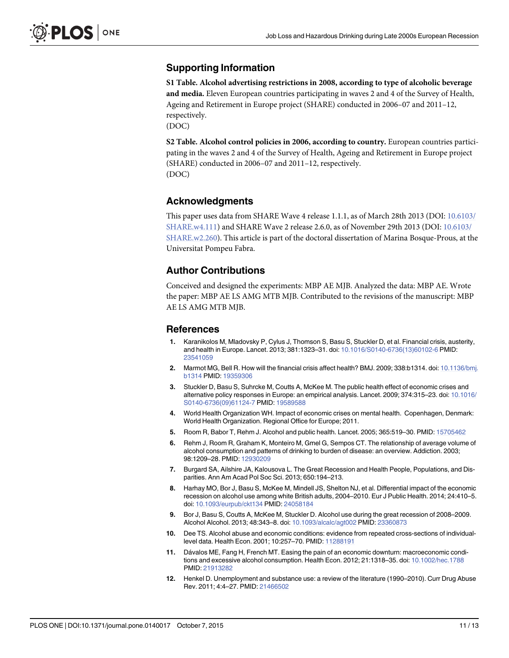# <span id="page-10-0"></span>Supporting Information

[S1 Table](http://www.plosone.org/article/fetchSingleRepresentation.action?uri=info:doi/10.1371/journal.pone.0140017.s001). Alcohol advertising restrictions in 2008, according to type of alcoholic beverage and media. Eleven European countries participating in waves 2 and 4 of the Survey of Health, Ageing and Retirement in Europe project (SHARE) conducted in 2006–07 and 2011–12, respectively.

(DOC)

[S2 Table](http://www.plosone.org/article/fetchSingleRepresentation.action?uri=info:doi/10.1371/journal.pone.0140017.s002). Alcohol control policies in 2006, according to country. European countries participating in the waves 2 and 4 of the Survey of Health, Ageing and Retirement in Europe project (SHARE) conducted in 2006–07 and 2011–12, respectively. (DOC)

# Acknowledgments

This paper uses data from SHARE Wave 4 release 1.1.1, as of March 28th 2013 (DOI: [10.6103/](http://dx.doi.org/10.6103/SHARE.w4.111) [SHARE.w4.111](http://dx.doi.org/10.6103/SHARE.w4.111)) and SHARE Wave 2 release 2.6.0, as of November 29th 2013 (DOI: [10.6103/](http://dx.doi.org/10.6103/SHARE.w2.260) [SHARE.w2.260](http://dx.doi.org/10.6103/SHARE.w2.260)). This article is part of the doctoral dissertation of Marina Bosque-Prous, at the Universitat Pompeu Fabra.

# Author Contributions

Conceived and designed the experiments: MBP AE MJB. Analyzed the data: MBP AE. Wrote the paper: MBP AE LS AMG MTB MJB. Contributed to the revisions of the manuscript: MBP AE LS AMG MTB MJB.

#### References

- [1.](#page-1-0) Karanikolos M, Mladovsky P, Cylus J, Thomson S, Basu S, Stuckler D, et al. Financial crisis, austerity, and health in Europe. Lancet. 2013; 381:1323–31. doi: [10.1016/S0140-6736\(13\)60102-6](http://dx.doi.org/10.1016/S0140-6736(13)60102-6) PMID: [23541059](http://www.ncbi.nlm.nih.gov/pubmed/23541059)
- [2.](#page-1-0) Marmot MG, Bell R. How will the financial crisis affect health? BMJ. 2009; 338:b1314. doi: [10.1136/bmj.](http://dx.doi.org/10.1136/bmj.b1314) [b1314](http://dx.doi.org/10.1136/bmj.b1314) PMID: [19359306](http://www.ncbi.nlm.nih.gov/pubmed/19359306)
- [3.](#page-1-0) Stuckler D, Basu S, Suhrcke M, Coutts A, McKee M. The public health effect of economic crises and alternative policy responses in Europe: an empirical analysis. Lancet. 2009; 374:315–23. doi: [10.1016/](http://dx.doi.org/10.1016/S0140-6736(09)61124-7) [S0140-6736\(09\)61124-7](http://dx.doi.org/10.1016/S0140-6736(09)61124-7) PMID: [19589588](http://www.ncbi.nlm.nih.gov/pubmed/19589588)
- [4.](#page-1-0) World Health Organization WH. Impact of economic crises on mental health. Copenhagen, Denmark: World Health Organization. Regional Office for Europe; 2011.
- [5.](#page-1-0) Room R, Babor T, Rehm J. Alcohol and public health. Lancet. 2005; 365:519–30. PMID: [15705462](http://www.ncbi.nlm.nih.gov/pubmed/15705462)
- [6.](#page-1-0) Rehm J, Room R, Graham K, Monteiro M, Gmel G, Sempos CT. The relationship of average volume of alcohol consumption and patterns of drinking to burden of disease: an overview. Addiction. 2003; 98:1209–28. PMID: [12930209](http://www.ncbi.nlm.nih.gov/pubmed/12930209)
- [7.](#page-1-0) Burgard SA, Ailshire JA, Kalousova L. The Great Recession and Health People, Populations, and Disparities. Ann Am Acad Pol Soc Sci. 2013; 650:194–213.
- 8. Harhay MO, Bor J, Basu S, McKee M, Mindell JS, Shelton NJ, et al. Differential impact of the economic recession on alcohol use among white British adults, 2004–2010. Eur J Public Health. 2014; 24:410–5. doi: [10.1093/eurpub/ckt134](http://dx.doi.org/10.1093/eurpub/ckt134) PMID: [24058184](http://www.ncbi.nlm.nih.gov/pubmed/24058184)
- [9.](#page-9-0) Bor J, Basu S, Coutts A, McKee M, Stuckler D. Alcohol use during the great recession of 2008–2009. Alcohol Alcohol. 2013; 48:343–8. doi: [10.1093/alcalc/agt002](http://dx.doi.org/10.1093/alcalc/agt002) PMID: [23360873](http://www.ncbi.nlm.nih.gov/pubmed/23360873)
- 10. Dee TS. Alcohol abuse and economic conditions: evidence from repeated cross-sections of individuallevel data. Health Econ. 2001; 10:257–70. PMID: [11288191](http://www.ncbi.nlm.nih.gov/pubmed/11288191)
- [11.](#page-9-0) Dávalos ME, Fang H, French MT. Easing the pain of an economic downturn: macroeconomic conditions and excessive alcohol consumption. Health Econ. 2012; 21:1318–35. doi: [10.1002/hec.1788](http://dx.doi.org/10.1002/hec.1788) PMID: [21913282](http://www.ncbi.nlm.nih.gov/pubmed/21913282)
- [12.](#page-1-0) Henkel D. Unemployment and substance use: a review of the literature (1990–2010). Curr Drug Abuse Rev. 2011; 4:4–27. PMID: [21466502](http://www.ncbi.nlm.nih.gov/pubmed/21466502)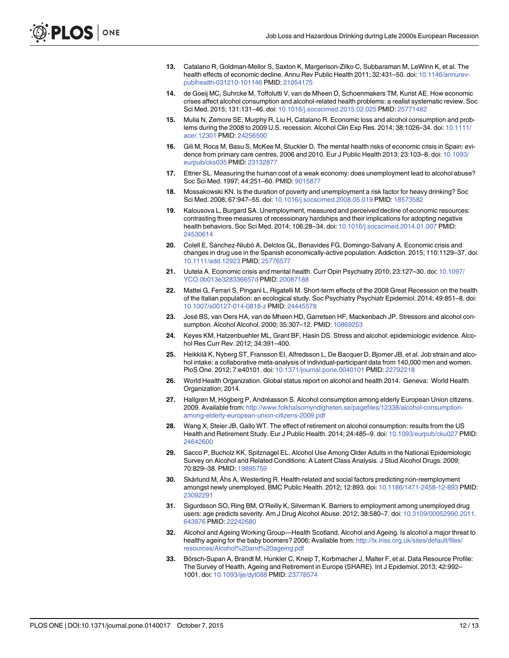- <span id="page-11-0"></span>[13.](#page-1-0) Catalano R, Goldman-Mellor S, Saxton K, Margerison-Zilko C, Subbaraman M, LeWinn K, et al. The health effects of economic decline. Annu Rev Public Health 2011; 32:431–50. doi: [10.1146/annurev](http://dx.doi.org/10.1146/annurev-publhealth-031210-101146)[publhealth-031210-101146](http://dx.doi.org/10.1146/annurev-publhealth-031210-101146) PMID: [21054175](http://www.ncbi.nlm.nih.gov/pubmed/21054175)
- [14.](#page-1-0) de Goeij MC, Suhrcke M, Toffolutti V, van de Mheen D, Schoenmakers TM, Kunst AE. How economic crises affect alcohol consumption and alcohol-related health problems: a realist systematic review. Soc Sci Med. 2015; 131:131–46. doi: [10.1016/j.socscimed.2015.02.025](http://dx.doi.org/10.1016/j.socscimed.2015.02.025) PMID: [25771482](http://www.ncbi.nlm.nih.gov/pubmed/25771482)
- [15.](#page-1-0) Mulia N, Zemore SE, Murphy R, Liu H, Catalano R. Economic loss and alcohol consumption and prob-lems during the 2008 to 2009 U.S. recession. Alcohol Clin Exp Res. 2014; 38:1026-34. doi: [10.1111/](http://dx.doi.org/10.1111/acer.12301) [acer.12301](http://dx.doi.org/10.1111/acer.12301) PMID: [24256500](http://www.ncbi.nlm.nih.gov/pubmed/24256500)
- 16. Gili M, Roca M, Basu S, McKee M, Stuckler D. The mental health risks of economic crisis in Spain: evi-dence from primary care centres, 2006 and 2010. Eur J Public Health 2013; 23:103-8. doi: [10.1093/](http://dx.doi.org/10.1093/eurpub/cks035) [eurpub/cks035](http://dx.doi.org/10.1093/eurpub/cks035) PMID: [23132877](http://www.ncbi.nlm.nih.gov/pubmed/23132877)
- [17.](#page-1-0) Ettner SL. Measuring the human cost of a weak economy: does unemployment lead to alcohol abuse? Soc Sci Med. 1997; 44:251–60. PMID: [9015877](http://www.ncbi.nlm.nih.gov/pubmed/9015877)
- [18.](#page-1-0) Mossakowski KN. Is the duration of poverty and unemployment a risk factor for heavy drinking? Soc Sci Med. 2008; 67:947–55. doi: [10.1016/j.socscimed.2008.05.019](http://dx.doi.org/10.1016/j.socscimed.2008.05.019) PMID: [18573582](http://www.ncbi.nlm.nih.gov/pubmed/18573582)
- [19.](#page-1-0) Kalousova L, Burgard SA. Unemployment, measured and perceived decline of economic resources: contrasting three measures of recessionary hardships and their implications for adopting negative health behaviors. Soc Sci Med. 2014; 106:28–34. doi: [10.1016/j.socscimed.2014.01.007](http://dx.doi.org/10.1016/j.socscimed.2014.01.007) PMID: [24530614](http://www.ncbi.nlm.nih.gov/pubmed/24530614)
- [20.](#page-1-0) Colell E, Sánchez-Niubò A, Delclos GL, Benavides FG, Domingo-Salvany A. Economic crisis and changes in drug use in the Spanish economically-active population. Addiction. 2015; 110:1129–37. doi: [10.1111/add.12923](http://dx.doi.org/10.1111/add.12923) PMID: [25776577](http://www.ncbi.nlm.nih.gov/pubmed/25776577)
- [21.](#page-1-0) Uutela A. Economic crisis and mental health. Curr Opin Psychiatry 2010; 23:127–30. doi: [10.1097/](http://dx.doi.org/10.1097/YCO.0b013e328336657d) [YCO.0b013e328336657d](http://dx.doi.org/10.1097/YCO.0b013e328336657d) PMID: [20087188](http://www.ncbi.nlm.nih.gov/pubmed/20087188)
- [22.](#page-1-0) Mattei G, Ferrari S, Pingani L, Rigatelli M. Short-term effects of the 2008 Great Recession on the health of the Italian population: an ecological study. Soc Psychiatry Psychiatr Epidemiol. 2014; 49:851–8. doi: [10.1007/s00127-014-0818-z](http://dx.doi.org/10.1007/s00127-014-0818-z) PMID: [24445578](http://www.ncbi.nlm.nih.gov/pubmed/24445578)
- [23.](#page-1-0) José BS, van Oers HA, van de Mheen HD, Garretsen HF, Mackenbach JP. Stressors and alcohol consumption. Alcohol Alcohol. 2000; 35:307–12. PMID: [10869253](http://www.ncbi.nlm.nih.gov/pubmed/10869253)
- [24.](#page-1-0) Keyes KM, Hatzenbuehler ML, Grant BF, Hasin DS. Stress and alcohol: epidemiologic evidence. Alcohol Res Curr Rev. 2012; 34:391–400.
- [25.](#page-1-0) Heikkilä K, Nyberg ST, Fransson EI, Alfredsson L, De Bacquer D, Bjorner JB, et al. Job strain and alcohol intake: a collaborative meta-analysis of individual-participant data from 140,000 men and women. PloS One. 2012; 7:e40101. doi: [10.1371/journal.pone.0040101](http://dx.doi.org/10.1371/journal.pone.0040101) PMID: [22792218](http://www.ncbi.nlm.nih.gov/pubmed/22792218)
- [26.](#page-1-0) World Health Organization. Global status report on alcohol and health 2014. Geneva: World Health Organization; 2014.
- [27.](#page-1-0) Hallgren M, Högberg P, Andréasson S. Alcohol consumption among elderly European Union citizens. 2009. Available from: [http://www.folkhalsomyndigheten.se/pagefiles/12338/alcohol-consumption](http://www.folkhalsomyndigheten.se/pagefiles/12338/alcohol-consumption-among-elderly-european-union-citizens-2009.pdf)[among-elderly-european-union-citizens-2009.pdf](http://www.folkhalsomyndigheten.se/pagefiles/12338/alcohol-consumption-among-elderly-european-union-citizens-2009.pdf)
- [28.](#page-1-0) Wang X, Steier JB, Gallo WT. The effect of retirement on alcohol consumption: results from the US Health and Retirement Study. Eur J Public Health. 2014; 24:485–9. doi: [10.1093/eurpub/cku027](http://dx.doi.org/10.1093/eurpub/cku027) PMID: [24642600](http://www.ncbi.nlm.nih.gov/pubmed/24642600)
- [29.](#page-1-0) Sacco P, Bucholz KK, Spitznagel EL. Alcohol Use Among Older Adults in the National Epidemiologic Survey on Alcohol and Related Conditions: A Latent Class Analysis. J Stud Alcohol Drugs. 2009; 70:829–38. PMID: [19895759](http://www.ncbi.nlm.nih.gov/pubmed/19895759)
- [30.](#page-2-0) Skärlund M, Åhs A, Westerling R. Health-related and social factors predicting non-reemployment amongst newly unemployed. BMC Public Health. 2012; 12:893. doi: [10.1186/1471-2458-12-893](http://dx.doi.org/10.1186/1471-2458-12-893) PMID: [23092291](http://www.ncbi.nlm.nih.gov/pubmed/23092291)
- [31.](#page-2-0) Sigurdsson SO, Ring BM, O'Reilly K, Silverman K. Barriers to employment among unemployed drug users: age predicts severity. Am J Drug Alcohol Abuse. 2012; 38:580–7. doi: [10.3109/00952990.2011.](http://dx.doi.org/10.3109/00952990.2011.643976) [643976](http://dx.doi.org/10.3109/00952990.2011.643976) PMID: [22242680](http://www.ncbi.nlm.nih.gov/pubmed/22242680)
- [32.](#page-2-0) Alcohol and Ageing Working Group—Health Scotland. Alcohol and Ageing. Is alcohol a major threat to healthy ageing for the baby boomers? 2006; Available from: [http://lx.iriss.org.uk/sites/default/files/](http://lx.iriss.org.uk/sites/default/files/resources/Alcohol%20and%20ageing.pdf) [resources/Alcohol%20and%20ageing.pdf](http://lx.iriss.org.uk/sites/default/files/resources/Alcohol%20and%20ageing.pdf)
- [33.](#page-2-0) Börsch-Supan A, Brandt M, Hunkler C, Kneip T, Korbmacher J, Malter F, et al. Data Resource Profile: The Survey of Health, Ageing and Retirement in Europe (SHARE). Int J Epidemiol. 2013; 42:992– 1001. doi: [10.1093/ije/dyt088](http://dx.doi.org/10.1093/ije/dyt088) PMID: [23778574](http://www.ncbi.nlm.nih.gov/pubmed/23778574)